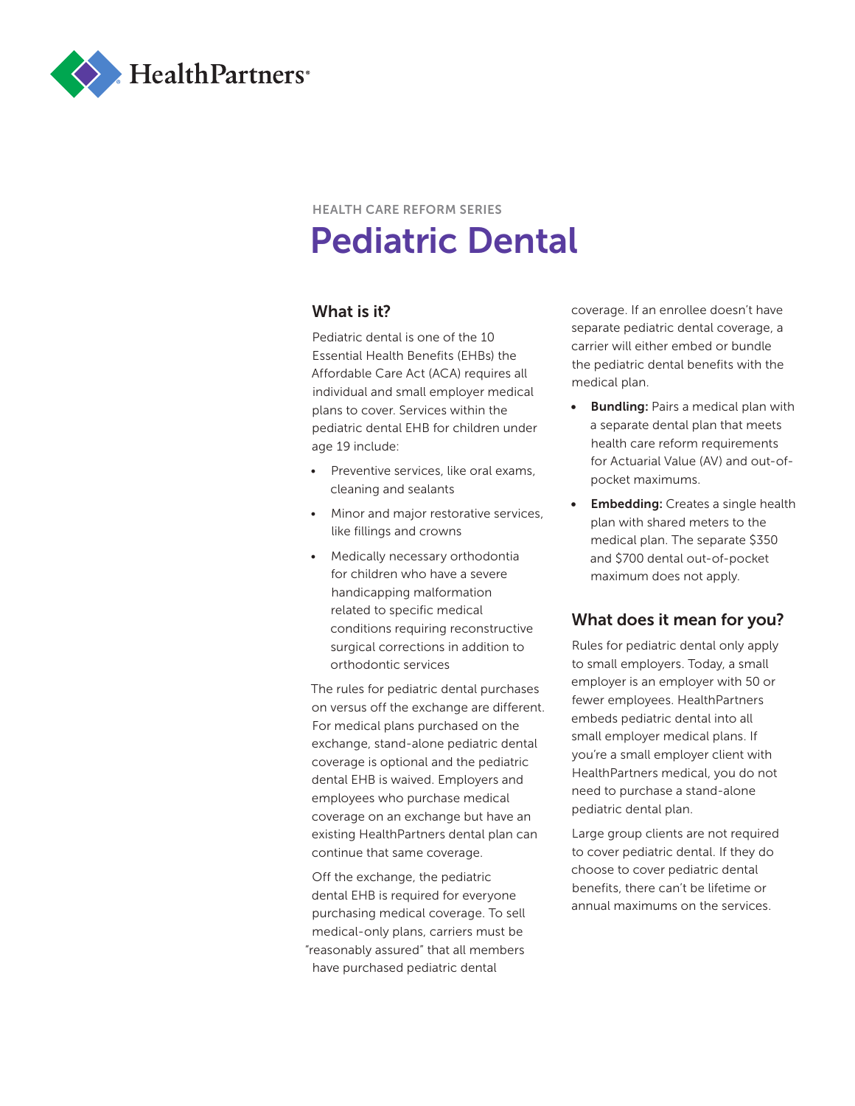

# HEALTH CARE REFORM SERIES Pediatric Dental

# What is it?

Pediatric dental is one of the 10 Essential Health Benefits (EHBs) the Affordable Care Act (ACA) requires all individual and small employer medical plans to cover. Services within the pediatric dental EHB for children under age 19 include:

- Preventive services, like oral exams, cleaning and sealants
- Minor and major restorative services, like fillings and crowns
- Medically necessary orthodontia for children who have a severe handicapping malformation related to specific medical conditions requiring reconstructive surgical corrections in addition to orthodontic services

The rules for pediatric dental purchases on versus off the exchange are different. For medical plans purchased on the exchange, stand-alone pediatric dental coverage is optional and the pediatric dental EHB is waived. Employers and employees who purchase medical coverage on an exchange but have an existing HealthPartners dental plan can continue that same coverage.

Off the exchange, the pediatric dental EHB is required for everyone purchasing medical coverage. To sell medical-only plans, carriers must be "reasonably assured" that all members have purchased pediatric dental

coverage. If an enrollee doesn't have separate pediatric dental coverage, a carrier will either embed or bundle the pediatric dental benefits with the medical plan.

- Bundling: Pairs a medical plan with a separate dental plan that meets health care reform requirements for Actuarial Value (AV) and out-ofpocket maximums.
- **Embedding:** Creates a single health plan with shared meters to the medical plan. The separate \$350 and \$700 dental out-of-pocket maximum does not apply.

# What does it mean for you?

Rules for pediatric dental only apply to small employers. Today, a small employer is an employer with 50 or fewer employees. HealthPartners embeds pediatric dental into all small employer medical plans. If you're a small employer client with HealthPartners medical, you do not need to purchase a stand-alone pediatric dental plan.

Large group clients are not required to cover pediatric dental. If they do choose to cover pediatric dental benefits, there can't be lifetime or annual maximums on the services.